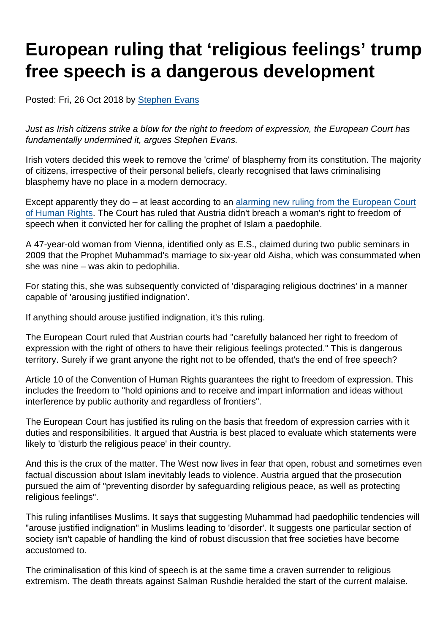# European ruling that 'religious feelings' trump free speech is a dangerous development

Posted: Fri, 26 Oct 2018 by [Stephen Evans](https://www.secularism.org.uk/opinion/authors/845)

Just as Irish citizens strike a blow for the right to freedom of expression, the European Court has fundamentally undermined it, argues Stephen Evans.

Irish voters decided this week to remove the 'crime' of blasphemy from its constitution. The majority of citizens, irrespective of their personal beliefs, clearly recognised that laws criminalising blasphemy have no place in a modern democracy.

Except apparently they do – at least according to an [alarming new ruling from the European Court](https://hudoc.echr.coe.int/eng#{"itemid":["001-187188"]}) [of Human Rights](https://hudoc.echr.coe.int/eng#{"itemid":["001-187188"]}). The Court has ruled that Austria didn't breach a woman's right to freedom of speech when it convicted her for calling the prophet of Islam a paedophile.

A 47-year-old woman from Vienna, identified only as E.S., claimed during two public seminars in 2009 that the Prophet Muhammad's marriage to six-year old Aisha, which was consummated when she was nine – was akin to pedophilia.

For stating this, she was subsequently convicted of 'disparaging religious doctrines' in a manner capable of 'arousing justified indignation'.

If anything should arouse justified indignation, it's this ruling.

The European Court ruled that Austrian courts had "carefully balanced her right to freedom of expression with the right of others to have their religious feelings protected." This is dangerous territory. Surely if we grant anyone the right not to be offended, that's the end of free speech?

Article 10 of the Convention of Human Rights guarantees the right to freedom of expression. This includes the freedom to "hold opinions and to receive and impart information and ideas without interference by public authority and regardless of frontiers".

The European Court has justified its ruling on the basis that freedom of expression carries with it duties and responsibilities. It argued that Austria is best placed to evaluate which statements were likely to 'disturb the religious peace' in their country.

And this is the crux of the matter. The West now lives in fear that open, robust and sometimes even factual discussion about Islam inevitably leads to violence. Austria argued that the prosecution pursued the aim of "preventing disorder by safeguarding religious peace, as well as protecting religious feelings".

This ruling infantilises Muslims. It says that suggesting Muhammad had paedophilic tendencies will "arouse justified indignation" in Muslims leading to 'disorder'. It suggests one particular section of society isn't capable of handling the kind of robust discussion that free societies have become accustomed to.

The criminalisation of this kind of speech is at the same time a craven surrender to religious extremism. The death threats against Salman Rushdie heralded the start of the current malaise.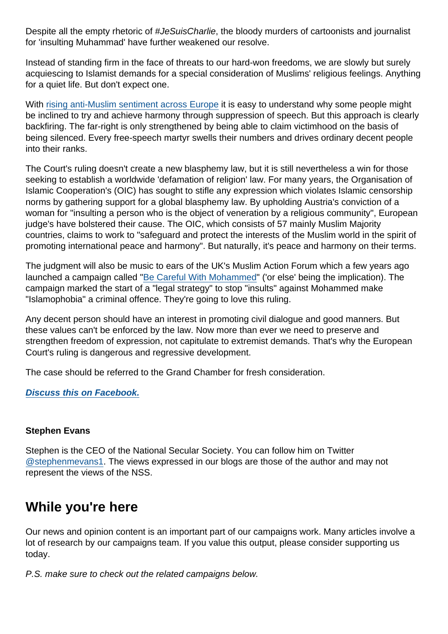Despite all the empty rhetoric of #JeSuisCharlie, the bloody murders of cartoonists and journalist for 'insulting Muhammad' have further weakened our resolve.

Instead of standing firm in the face of threats to our hard-won freedoms, we are slowly but surely acquiescing to Islamist demands for a special consideration of Muslims' religious feelings. Anything for a quiet life. But don't expect one.

With [rising anti-Muslim sentiment across Europe](http://www.pewglobal.org/2016/07/11/negative-views-of-minorities-refugees-common-in-eu/) it is easy to understand why some people might be inclined to try and achieve harmony through suppression of speech. But this approach is clearly backfiring. The far-right is only strengthened by being able to claim victimhood on the basis of being silenced. Every free-speech martyr swells their numbers and drives ordinary decent people into their ranks.

The Court's ruling doesn't create a new blasphemy law, but it is still nevertheless a win for those seeking to establish a worldwide 'defamation of religion' law. For many years, the Organisation of Islamic Cooperation's (OIC) has sought to stifle any expression which violates Islamic censorship norms by gathering support for a global blasphemy law. By upholding Austria's conviction of a woman for "insulting a person who is the object of veneration by a religious community", European judge's have bolstered their cause. The OIC, which consists of 57 mainly Muslim Majority countries, claims to work to "safeguard and protect the interests of the Muslim world in the spirit of promoting international peace and harmony". But naturally, it's peace and harmony on their terms.

The judgment will also be music to ears of the UK's Muslim Action Forum which a few years ago launched a campaign called ["Be Careful With Mohammed](https://www.secularism.org.uk/news/2015/03/be-careful-with-mohammed--muslim-action-forum-launches-legal-strategy-to-stop-publication-of-insults-to-mohammed)" ('or else' being the implication). The campaign marked the start of a "legal strategy" to stop "insults" against Mohammed make "Islamophobia" a criminal offence. They're going to love this ruling.

Any decent person should have an interest in promoting civil dialogue and good manners. But these values can't be enforced by the law. Now more than ever we need to preserve and strengthen freedom of expression, not capitulate to extremist demands. That's why the European Court's ruling is dangerous and regressive development.

The case should be referred to the Grand Chamber for fresh consideration.

[Discuss this on Facebook.](https://www.facebook.com/NationalSecularSociety/posts/1956903621044646?__xts__[0]=68.ARDJnlkYJiaYpckgvXkq_YgCBqGq25Xfp6E5oGenMWmd3al-bNzyua_8DwfEbKx0GfkwdWpCvWxvwinfkAL_qKhHbS8QMIoNCx3OWpHtNlYHgCy5cWuUSyIFO_ZFuyLa-LMXOv3_iYmw5nxnmet9Odp6m-ljZ9dvaGUc0j9Lcd4F6VNTL1nUTyta639-Hu6KOTBgMJiId6eZhiHmMj3vAWw-3Ig&__tn__=-R)

#### Stephen Evans

Stephen is the CEO of the National Secular Society. You can follow him on Twitter [@stephenmevans1.](https://twitter.com/stephenmevans1?lang=en-gb) The views expressed in our blogs are those of the author and may not represent the views of the NSS.

## While you're here

Our news and opinion content is an important part of our campaigns work. Many articles involve a lot of research by our campaigns team. If you value this output, please consider supporting us today.

P.S. make sure to check out the related campaigns below.